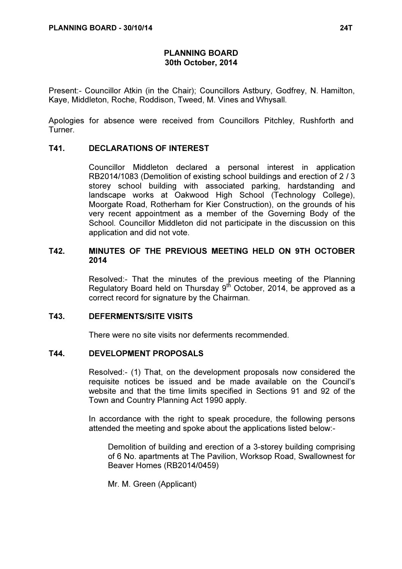# PLANNING BOARD 30th October, 2014

Present:- Councillor Atkin (in the Chair); Councillors Astbury, Godfrey, N. Hamilton, Kaye, Middleton, Roche, Roddison, Tweed, M. Vines and Whysall.

Apologies for absence were received from Councillors Pitchley, Rushforth and Turner.

## T41. DECLARATIONS OF INTEREST

 Councillor Middleton declared a personal interest in application RB2014/1083 (Demolition of existing school buildings and erection of 2 / 3 storey school building with associated parking, hardstanding and landscape works at Oakwood High School (Technology College), Moorgate Road, Rotherham for Kier Construction), on the grounds of his very recent appointment as a member of the Governing Body of the School. Councillor Middleton did not participate in the discussion on this application and did not vote.

# T42. MINUTES OF THE PREVIOUS MEETING HELD ON 9TH OCTOBER 2014

 Resolved:- That the minutes of the previous meeting of the Planning Regulatory Board held on Thursday  $9^{th}$  October, 2014, be approved as a correct record for signature by the Chairman.

## T43. DEFERMENTS/SITE VISITS

There were no site visits nor deferments recommended.

### T44. DEVELOPMENT PROPOSALS

 Resolved:- (1) That, on the development proposals now considered the requisite notices be issued and be made available on the Council's website and that the time limits specified in Sections 91 and 92 of the Town and Country Planning Act 1990 apply.

In accordance with the right to speak procedure, the following persons attended the meeting and spoke about the applications listed below:-

Demolition of building and erection of a 3-storey building comprising of 6 No. apartments at The Pavilion, Worksop Road, Swallownest for Beaver Homes (RB2014/0459)

Mr. M. Green (Applicant)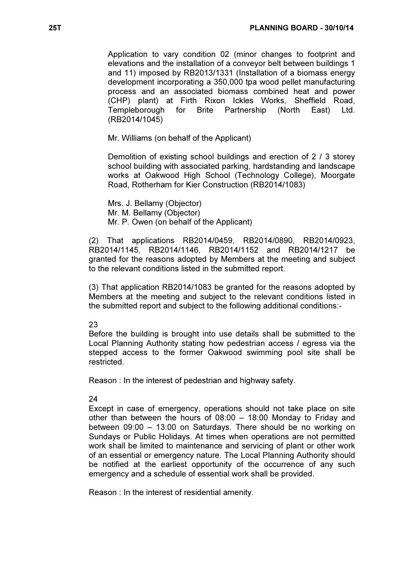Application to vary condition 02 (minor changes to footprint and elevations and the installation of a conveyor belt between buildings 1 and 11) imposed by RB2013/1331 (Installation of a biomass energy development incorporating a 350,000 tpa wood pellet manufacturing process and an associated biomass combined heat and power (CHP) plant) at Firth Rixon Ickles Works, Sheffield Road, Templeborough for Brite Partnership (North East) Ltd. (RB2014/1045)

Mr. Williams (on behalf of the Applicant)

Demolition of existing school buildings and erection of 2 / 3 storey school building with associated parking, hardstanding and landscape works at Oakwood High School (Technology College), Moorgate Road, Rotherham for Kier Construction (RB2014/1083)

Mrs. J. Bellamy (Objector) Mr. M. Bellamy (Objector) Mr. P. Owen (on behalf of the Applicant)

(2) That applications RB2014/0459, RB2014/0890, RB2014/0923, RB2014/1145, RB2014/1146, RB2014/1152 and RB2014/1217 be granted for the reasons adopted by Members at the meeting and subject to the relevant conditions listed in the submitted report.

(3) That application RB2014/1083 be granted for the reasons adopted by Members at the meeting and subject to the relevant conditions listed in the submitted report and subject to the following additional conditions:-

### 23

Before the building is brought into use details shall be submitted to the Local Planning Authority stating how pedestrian access / egress via the stepped access to the former Oakwood swimming pool site shall be restricted.

Reason : In the interest of pedestrian and highway safety.

#### 24

Except in case of emergency, operations should not take place on site other than between the hours of 08:00 – 18:00 Monday to Friday and between 09:00 – 13:00 on Saturdays. There should be no working on Sundays or Public Holidays. At times when operations are not permitted work shall be limited to maintenance and servicing of plant or other work of an essential or emergency nature. The Local Planning Authority should be notified at the earliest opportunity of the occurrence of any such emergency and a schedule of essential work shall be provided.

Reason : In the interest of residential amenity.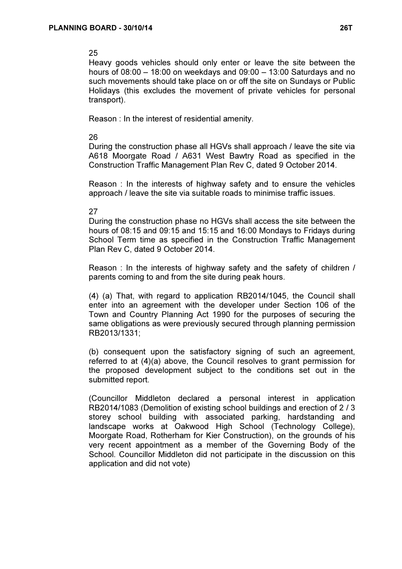## 25

Heavy goods vehicles should only enter or leave the site between the hours of 08:00 – 18:00 on weekdays and 09:00 – 13:00 Saturdays and no such movements should take place on or off the site on Sundays or Public Holidays (this excludes the movement of private vehicles for personal transport).

Reason : In the interest of residential amenity.

### 26

During the construction phase all HGVs shall approach / leave the site via A618 Moorgate Road / A631 West Bawtry Road as specified in the Construction Traffic Management Plan Rev C, dated 9 October 2014.

Reason : In the interests of highway safety and to ensure the vehicles approach / leave the site via suitable roads to minimise traffic issues.

### 27

During the construction phase no HGVs shall access the site between the hours of 08:15 and 09:15 and 15:15 and 16:00 Mondays to Fridays during School Term time as specified in the Construction Traffic Management Plan Rev C, dated 9 October 2014.

Reason : In the interests of highway safety and the safety of children / parents coming to and from the site during peak hours.

(4) (a) That, with regard to application RB2014/1045, the Council shall enter into an agreement with the developer under Section 106 of the Town and Country Planning Act 1990 for the purposes of securing the same obligations as were previously secured through planning permission RB2013/1331;

(b) consequent upon the satisfactory signing of such an agreement, referred to at (4)(a) above, the Council resolves to grant permission for the proposed development subject to the conditions set out in the submitted report.

(Councillor Middleton declared a personal interest in application RB2014/1083 (Demolition of existing school buildings and erection of 2 / 3 storey school building with associated parking, hardstanding and landscape works at Oakwood High School (Technology College), Moorgate Road, Rotherham for Kier Construction), on the grounds of his very recent appointment as a member of the Governing Body of the School. Councillor Middleton did not participate in the discussion on this application and did not vote)